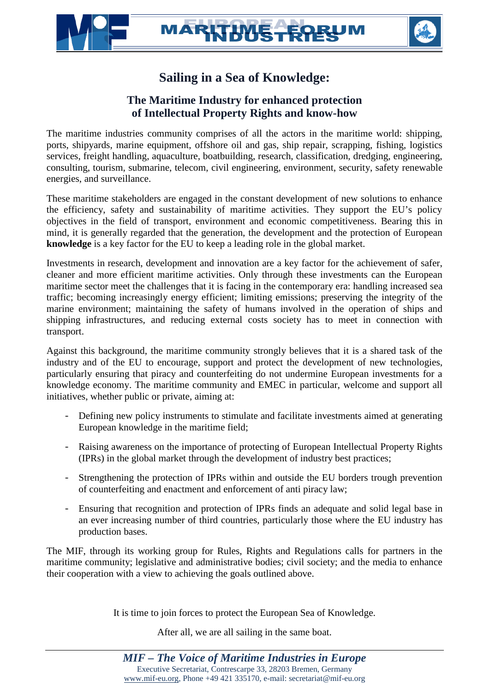## Sailing in a Sea of Knowledge:

## The Maritime I ndustry for enhanced protection of Intellectual Property Rights and know-how

The maritime industries community comprises of all the actors in the maritime world: shipping, ports, shipyards, marine equipment that oil and gas, ship repair, scrapping, fishing, logistics services, freight handling, aquaculture, boatbuilding, research, classification, dredging, engineering, consulting, tourism, submarine, telecom, civil engineering, environment, security, reafety able energies, and surveillance.

These maritime stakeholders are engaged in the constant development of new solutions to enhance the efficiency, safety and sustainability of maritime activities. They support the EU€s policy objectives in the field fotransport, environment and economic competitiveness. Bearing this in mind, it is generally regarded that the generation, the development and the protection of European knowledge is a key factor for the EU to keep a leading role in the global market.

Investments in research, development and innovation are a key factor for the achievement of safer, cleaner and more efficient maritime activities. Only through these investments can the European maritime sector meet the challenges that it is facing in the comprary era: handling increased sea traffic; becoming increasingly energy efficient; limiting emissions; preserving the integrity of the marine environment; maintaining the safety of humans involved in the operation of ships and shipping infrastructures and reducing external costs society has to meet in connection with transport.

Against this background, the maritime community strongly believes that it is a shared task of the industry and of the EU to encourage, support and protect the development dealtherologies, particularly ensuring that piracy and counterfeiting do not undermine European investments for a knowledge economy. The maritime community and EMEC in particular, welcome and support all initiatives, whether public or private, aiming at:

- Defining new policy instruments to stimulate and facilitate investments aimed at generating European knowledge in the maritime field;
- Raising awareness on the importance of protecting of European Intellectual Property Rights (IPRs) in the global market throlughe development of industry best practices;
- Strengthening the protection of IPRs within and outside the EU borders trough prevention of counterfeiting and enactment and enforcement of anti piracy law;
- Ensuring that recognition and protection of IPRs stiman adequate and solid legal base in an ever increasing number of third countries, particularly those where the EU industry production bases.

The MIF, through its working group for Rules, Rights and Regulations calls for partners in the maritime community; legislative and administrative bodies; civil society; and the media to enhance their cooperation with a view to achieving the goals outlined above.

It is time to join forces to protect the European Sea of Knowledge.

After all, we are all sailing the same boat.